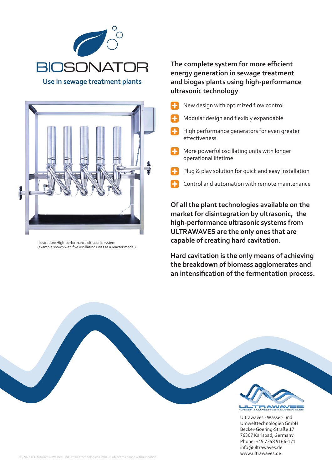

**Use in sewage treatment plants**



Illustration: High-performance ultrasonic system (example shown with five oscillating units as a reactor model)

## **The complete system for more efficient energy generation in sewage treatment and biogas plants using high-performance ultrasonic technology**

- New design with optimized flow control
- Modular design and flexibly expandable
- High performance generators for even greater effectiveness
- **T** More powerful oscillating units with longer operational lifetime
- Plug & play solution for quick and easy installation
- Control and automation with remote maintenance

**Of all the plant technologies available on the market for disintegration by ultrasonic, the high-performance ultrasonic systems from ULTRAWAVES are the only ones that are capable of creating hard cavitation.**

**Hard cavitation is the only means of achieving the breakdown of biomass agglomerates and an intensification of the fermentation process.**



Ultrawaves - Wasser- und Umwelttechnologien GmbH Becker-Goering-Straße 17 76307 Karlsbad, Germany Phone: +49 7248 9166-171 info@ultrawaves.de www.ultrawaves.de